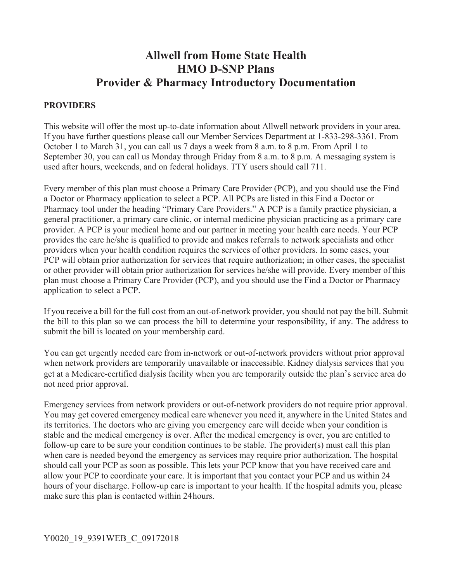# **Allwell from Home State Health HMO D-SNP Plans Provider & Pharmacy Introductory Documentation**

#### **PROVIDERS**

This website will offer the most up-to-date information about Allwell network providers in your area. If you have further questions please call our Member Services Department at 1-833-298-3361. From October 1 to March 31, you can call us 7 days a week from 8 a.m. to 8 p.m. From April 1 to September 30, you can call us Monday through Friday from 8 a.m. to 8 p.m. A messaging system is used after hours, weekends, and on federal holidays. TTY users should call 711.

Every member of this plan must choose a Primary Care Provider (PCP), and you should use the Find a Doctor or Pharmacy application to select a PCP. All PCPs are listed in this Find a Doctor or Pharmacy tool under the heading "Primary Care Providers." A PCP is a family practice physician, a general practitioner, a primary care clinic, or internal medicine physician practicing as a primary care provider. A PCP is your medical home and our partner in meeting your health care needs. Your PCP provides the care he/she is qualified to provide and makes referrals to network specialists and other providers when your health condition requires the services of other providers. In some cases, your PCP will obtain prior authorization for services that require authorization; in other cases, the specialist or other provider will obtain prior authorization for services he/she will provide. Every member of this plan must choose a Primary Care Provider (PCP), and you should use the Find a Doctor or Pharmacy application to select a PCP.

If you receive a bill for the full cost from an out-of-network provider, you should not pay the bill. Submit the bill to this plan so we can process the bill to determine your responsibility, if any. The address to submit the bill is located on your membership card.

You can get urgently needed care from in-network or out-of-network providers without prior approval when network providers are temporarily unavailable or inaccessible. Kidney dialysis services that you get at a Medicare-certified dialysis facility when you are temporarily outside the plan's service area do not need prior approval.

Emergency services from network providers or out-of-network providers do not require prior approval. You may get covered emergency medical care whenever you need it, anywhere in the United States and its territories. The doctors who are giving you emergency care will decide when your condition is stable and the medical emergency is over. After the medical emergency is over, you are entitled to follow-up care to be sure your condition continues to be stable. The provider(s) must call this plan when care is needed beyond the emergency as services may require prior authorization. The hospital should call your PCP as soon as possible. This lets your PCP know that you have received care and allow your PCP to coordinate your care. It is important that you contact your PCP and us within 24 hours of your discharge. Follow-up care is important to your health. If the hospital admits you, please make sure this plan is contacted within 24 hours.